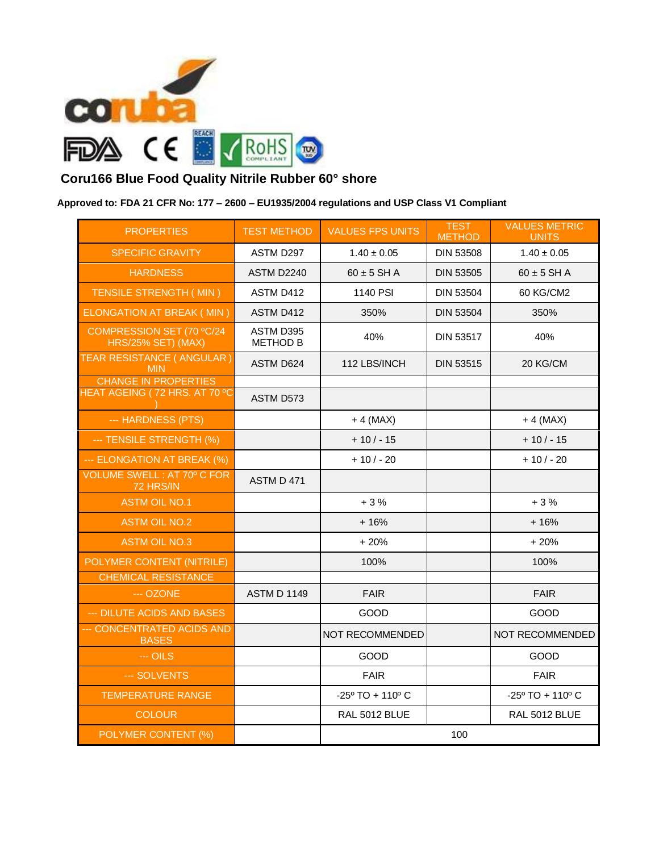

## **Coru166 Blue Food Quality Nitrile Rubber 60° shore**

## **Approved to: FDA 21 CFR No: 177 – 2600 – EU1935/2004 regulations and USP Class V1 Compliant**

| <b>PROPERTIES</b>                                            | <b>TEST METHOD</b>           | <b>VALUES FPS UNITS</b>             | <b>TEST</b>      | <b>VALUES METRIC</b>                |
|--------------------------------------------------------------|------------------------------|-------------------------------------|------------------|-------------------------------------|
|                                                              |                              |                                     | <b>METHOD</b>    | <b>UNITS</b>                        |
| <b>SPECIFIC GRAVITY</b>                                      | ASTM D297                    | $1.40 \pm 0.05$                     | <b>DIN 53508</b> | $1.40 \pm 0.05$                     |
| <b>HARDNESS</b>                                              | <b>ASTM D2240</b>            | $60 \pm 5$ SH A                     | <b>DIN 53505</b> | $60 \pm 5$ SH A                     |
| TENSILE STRENGTH (MIN)                                       | ASTM D412                    | 1140 PSI                            | <b>DIN 53504</b> | 60 KG/CM2                           |
| <b>ELONGATION AT BREAK (MIN)</b>                             | ASTM D412                    | 350%                                | <b>DIN 53504</b> | 350%                                |
| COMPRESSION SET (70 °C/24<br>HRS/25% SET) (MAX)              | ASTM D395<br><b>METHOD B</b> | 40%                                 | <b>DIN 53517</b> | 40%                                 |
| <b>TEAR RESISTANCE ( ANGULAR )</b><br><b>MIN</b>             | ASTM D624                    | 112 LBS/INCH                        | <b>DIN 53515</b> | 20 KG/CM                            |
| <b>CHANGE IN PROPERTIES</b><br>HEAT AGEING (72 HRS. AT 70 °C |                              |                                     |                  |                                     |
|                                                              | ASTM D573                    |                                     |                  |                                     |
| --- HARDNESS (PTS)                                           |                              | $+4$ (MAX)                          |                  | $+4$ (MAX)                          |
| --- TENSILE STRENGTH (%)                                     |                              | $+10/-15$                           |                  | $+10/-15$                           |
| --- ELONGATION AT BREAK (%)                                  |                              | $+10/-20$                           |                  | $+10/-20$                           |
| <b>VOLUME SWELL: AT 70° C FOR</b><br>72 HRS/IN               | ASTM D 471                   |                                     |                  |                                     |
| <b>ASTM OIL NO.1</b>                                         |                              | $+3%$                               |                  | $+3%$                               |
| <b>ASTM OIL NO.2</b>                                         |                              | $+16%$                              |                  | $+16%$                              |
| <b>ASTM OIL NO.3</b>                                         |                              | $+20%$                              |                  | $+20%$                              |
| POLYMER CONTENT (NITRILE)                                    |                              | 100%                                |                  | 100%                                |
| <b>CHEMICAL RESISTANCE</b>                                   |                              |                                     |                  |                                     |
| --- OZONE                                                    | <b>ASTM D 1149</b>           | <b>FAIR</b>                         |                  | <b>FAIR</b>                         |
| --- DILUTE ACIDS AND BASES                                   |                              | <b>GOOD</b>                         |                  | GOOD                                |
| <b>CONCENTRATED ACIDS AND</b><br><b>BASES</b>                |                              | NOT RECOMMENDED                     |                  | NOT RECOMMENDED                     |
| $-$ OILS                                                     |                              | <b>GOOD</b>                         |                  | GOOD                                |
| --- SOLVENTS                                                 |                              | <b>FAIR</b>                         |                  | <b>FAIR</b>                         |
| <b>TEMPERATURE RANGE</b>                                     |                              | $-25^{\circ}$ TO + 110 $^{\circ}$ C |                  | $-25^{\circ}$ TO + 110 $^{\circ}$ C |
| <b>COLOUR</b>                                                |                              | RAL 5012 BLUE                       |                  | <b>RAL 5012 BLUE</b>                |
| POLYMER CONTENT (%)                                          |                              | 100                                 |                  |                                     |